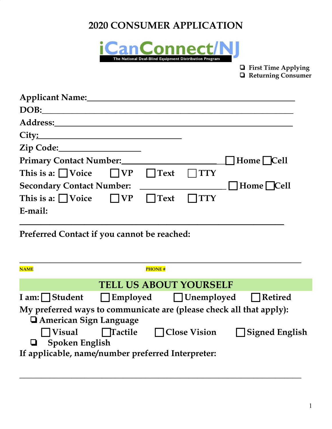# **2020 CONSUMER APPLICATION**



❏ **First Time Applying** ❏ **Returning Consumer**

| Applicant Name:______________                                        |                         |
|----------------------------------------------------------------------|-------------------------|
|                                                                      |                         |
|                                                                      |                         |
|                                                                      |                         |
|                                                                      |                         |
|                                                                      | $\Box$ Home $\Box$ Cell |
| This is a: $\bigcap$ Voice $\bigcap$ VP $\bigcap$ Text $\bigcap$ TTY |                         |
|                                                                      |                         |
| This is a: $\bigcap$ Voice $\bigcap$ VP $\bigcap$ Text $\bigcap$ TTY |                         |
| E-mail:                                                              |                         |

**Preferred Contact if you cannot be reached:**

| <b>NAME</b>                                                         |                        | <b>PHONE#</b>                                    |                       |
|---------------------------------------------------------------------|------------------------|--------------------------------------------------|-----------------------|
| <b>TELL US ABOUT YOURSELF</b>                                       |                        |                                                  |                       |
| I am: $\Box$ Student                                                |                        | $\Box$ Employed $\Box$ Unemployed $\Box$ Retired |                       |
| My preferred ways to communicate are (please check all that apply): |                        |                                                  |                       |
| American Sign Language                                              |                        |                                                  |                       |
| $\Box$ Visual                                                       | $\blacksquare$ Tactile | $\Box$ Close Vision                              | $\Box$ Signed English |
| <b>Spoken English</b>                                               |                        |                                                  |                       |
| If applicable, name/number preferred Interpreter:                   |                        |                                                  |                       |

**\_\_\_\_\_\_\_\_\_\_\_\_\_\_\_\_\_\_\_\_\_\_\_\_\_\_\_\_\_\_\_\_\_\_\_\_\_\_\_\_\_\_\_\_\_\_\_\_\_\_\_\_\_\_\_\_\_\_\_\_\_\_\_\_\_**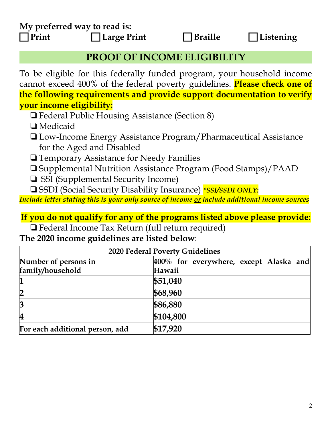**My preferred way to read is: Print Large Print Braille Listening**

#### **PROOF OF INCOME ELIGIBILITY**

To be eligible for this federally funded program, your household income cannot exceed 400% of the federal poverty guidelines. **Please check one of the following requirements and provide support documentation to verify your income eligibility:**

- ❏Federal Public Housing Assistance (Section 8)
- ❏Medicaid
- ❏Low-Income Energy Assistance Program/Pharmaceutical Assistance for the Aged and Disabled
- ❏Temporary Assistance for Needy Families

❏Supplemental Nutrition Assistance Program (Food Stamps)/PAAD

- ❏ SSI (Supplemental Security Income)
- ❏SSDI (Social Security Disability Insurance) *\*SSI/SSDI ONLY:*

*Include letter stating this is your only source of income or include additional income sources*

#### **If you do not qualify for any of the programs listed above please provide:**

❏Federal Income Tax Return (full return required)

**The 2020 income guidelines are listed below**:

| 2020 Federal Poverty Guidelines |                                        |  |  |
|---------------------------------|----------------------------------------|--|--|
| Number of persons in            | 400% for everywhere, except Alaska and |  |  |
| family/household                | Hawaii                                 |  |  |
|                                 | \$51,040                               |  |  |
|                                 | \$68,960                               |  |  |
| $\overline{3}$                  | \$86,880                               |  |  |
| $\overline{\mathbf{4}}$         | \$104,800                              |  |  |
| For each additional person, add | \$17,920                               |  |  |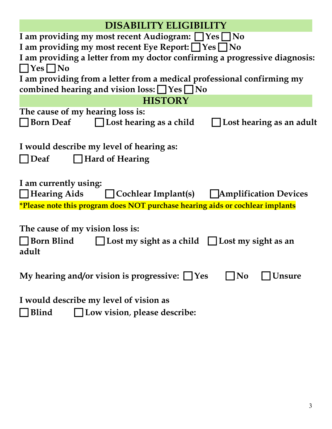| <b>DISABILITY ELIGIBILITY</b>                                                                                                    |
|----------------------------------------------------------------------------------------------------------------------------------|
| I am providing my most recent Audiogram: $\Box$ Yes $\Box$ No                                                                    |
| I am providing my most recent Eye Report: □ Yes □ No                                                                             |
| I am providing a letter from my doctor confirming a progressive diagnosis:                                                       |
| $\Box$ Yes $\Box$ No                                                                                                             |
| I am providing from a letter from a medical professional confirming my<br>combined hearing and vision loss: $\Box$ Yes $\Box$ No |
| <b>HISTORY</b>                                                                                                                   |
| The cause of my hearing loss is:                                                                                                 |
| $\Box$ Lost hearing as a child<br><b>□ Born Deaf</b><br>$\bigsqcup$ Lost hearing as an adult                                     |
|                                                                                                                                  |
| I would describe my level of hearing as:                                                                                         |
| <b>□ Hard of Hearing</b><br>Deaf                                                                                                 |
|                                                                                                                                  |
|                                                                                                                                  |
| I am currently using:                                                                                                            |
| $\Box$ Hearing Aids<br>$\Box$ Cochlear Implant(s) $\Box$ Amplification Devices                                                   |
| *Please note this program does NOT purchase hearing aids or cochlear implants                                                    |
|                                                                                                                                  |
| The cause of my vision loss is:                                                                                                  |
| $\Box$ Born Blind $\Box$ Lost my sight as a child $\Box$ Lost my sight as an                                                     |
| adult                                                                                                                            |
|                                                                                                                                  |
| My hearing and/or vision is progressive: $\Box$ Yes<br>Unsure<br>N <sub>0</sub>                                                  |
|                                                                                                                                  |
| I would describe my level of vision as                                                                                           |
| Blind<br>$\Box$ Low vision, please describe:                                                                                     |
|                                                                                                                                  |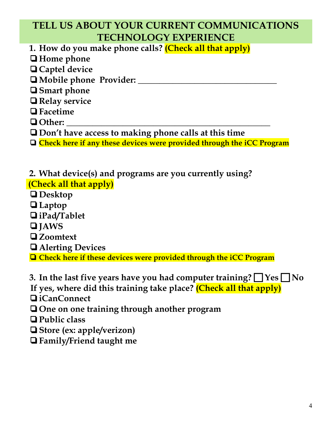# **TELL US ABOUT YOUR CURRENT COMMUNICATIONS TECHNOLOGY EXPERIENCE**

**1. How do you make phone calls? (Check all that apply)**

- ❏**Home phone**
- ❏**Captel device**
- ❏**Mobile phone Provider: \_\_\_\_\_\_\_\_\_\_\_\_\_\_\_\_\_\_\_\_\_\_\_\_\_\_\_\_\_\_\_\_**
- ❏**Smart phone**
- ❏**Relay service**
- ❏**Facetime**
- ❏**Other: \_\_\_\_\_\_\_\_\_\_\_\_\_\_\_\_\_\_\_\_\_\_\_\_\_\_\_\_\_\_\_\_\_\_\_\_\_\_\_\_\_\_\_\_\_\_\_**

❏**Don't have access to making phone calls at this time**

❏ **Check here if any these devices were provided through the iCC Program**

**2. What device(s) and programs are you currently using? (Check all that apply)**

- ❏**Desktop**
- ❏**Laptop**
- ❏**iPad/Tablet**
- ❏**JAWS**
- ❏**Zoomtext**
- ❏**Alerting Devices**
- ❏ **Check here if these devices were provided through the iCC Program**

**3.** In the last five years have you had computer training?  $\Box$  Yes  $\Box$  No

**If yes, where did this training take place? (Check all that apply)**

- ❏**iCanConnect**
- ❏**One on one training through another program**
- ❏**Public class**
- ❏**Store (ex: apple/verizon)**
- ❏**Family/Friend taught me**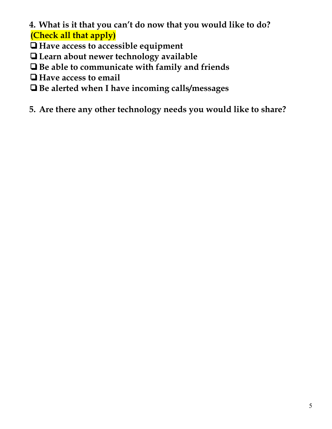**4. What is it that you can't do now that you would like to do? (Check all that apply)**

❏**Have access to accessible equipment**

❏**Learn about newer technology available**

❏**Be able to communicate with family and friends**

❏**Have access to email**

❏**Be alerted when I have incoming calls/messages**

**5. Are there any other technology needs you would like to share?**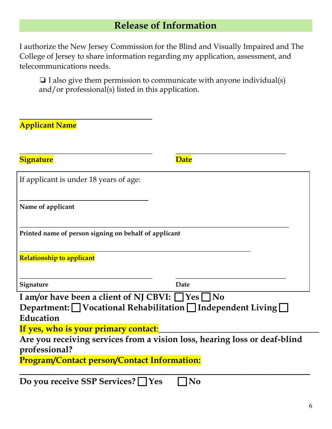# **Release of Information**

I authorize the New Jersey Commission for the Blind and Visually Impaired and The College of Jersey to share information regarding my application, assessment, and telecommunications needs.

❏ I also give them permission to communicate with anyone individual(s) and/or professional(s) listed in this application.

| <b>Applicant Name</b>                                       |                                                                           |  |
|-------------------------------------------------------------|---------------------------------------------------------------------------|--|
| <b>Signature</b>                                            | <b>Date</b>                                                               |  |
| If applicant is under 18 years of age:                      |                                                                           |  |
| Name of applicant                                           |                                                                           |  |
| Printed name of person signing on behalf of applicant       |                                                                           |  |
| <b>Relationship to applicant</b>                            |                                                                           |  |
| Signature                                                   | Date                                                                      |  |
| I am/or have been a client of NJ CBVI: $\Box$ Yes $\Box$ No |                                                                           |  |
|                                                             | Department: <u>□</u> Vocational Rehabilitation □ Independent Living □     |  |
| Education                                                   |                                                                           |  |
| If yes, who is your primary contact:                        |                                                                           |  |
| professional?                                               | Are you receiving services from a vision loss, hearing loss or deaf-blind |  |
| <b>Program/Contact person/Contact Information:</b>          |                                                                           |  |
| Do you receive SSP Services? $\Box$                         | No<br><b>Yes</b>                                                          |  |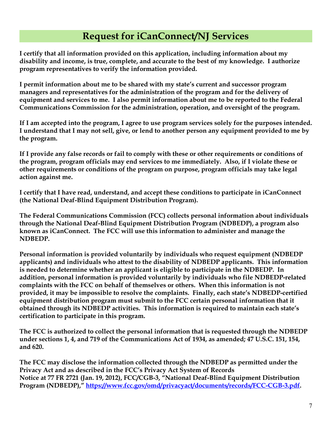## **Request for iCanConnect/NJ Services**

**I certify that all information provided on this application, including information about my disability and income, is true, complete, and accurate to the best of my knowledge. I authorize program representatives to verify the information provided.**

**I permit information about me to be shared with my state's current and successor program managers and representatives for the administration of the program and for the delivery of equipment and services to me. I also permit information about me to be reported to the Federal Communications Commission for the administration, operation, and oversight of the program.**

**If I am accepted into the program, I agree to use program services solely for the purposes intended. I understand that I may not sell, give, or lend to another person any equipment provided to me by the program.**

**If I provide any false records or fail to comply with these or other requirements or conditions of the program, program officials may end services to me immediately. Also, if I violate these or other requirements or conditions of the program on purpose, program officials may take legal action against me.**

**I certify that I have read, understand, and accept these conditions to participate in iCanConnect (the National Deaf-Blind Equipment Distribution Program).**

**The Federal Communications Commission (FCC) collects personal information about individuals through the National Deaf-Blind Equipment Distribution Program (NDBEDP), a program also known as iCanConnect. The FCC will use this information to administer and manage the NDBEDP.** 

**Personal information is provided voluntarily by individuals who request equipment (NDBEDP applicants) and individuals who attest to the disability of NDBEDP applicants. This information is needed to determine whether an applicant is eligible to participate in the NDBEDP. In addition, personal information is provided voluntarily by individuals who file NDBEDP-related complaints with the FCC on behalf of themselves or others. When this information is not provided, it may be impossible to resolve the complaints. Finally, each state's NDBEDP-certified equipment distribution program must submit to the FCC certain personal information that it obtained through its NDBEDP activities. This information is required to maintain each state's certification to participate in this program.**

**The FCC is authorized to collect the personal information that is requested through the NDBEDP under sections 1, 4, and 719 of the Communications Act of 1934, as amended; 47 U.S.C. 151, 154, and 620.**

**The FCC may disclose the information collected through the NDBEDP as permitted under the Privacy Act and as described in the FCC's Privacy Act System of Records Notice at 77 FR 2721 (Jan. 19, 2012), FCC/CGB-3, "National Deaf-Blind Equipment Distribution Program (NDBEDP)," [https://www.fcc.gov/omd/privacyact/documents/records/FCC-CGB-3.pdf.](https://www.fcc.gov/omd/privacyact/documents/records/FCC-CGB-3.pdf)**